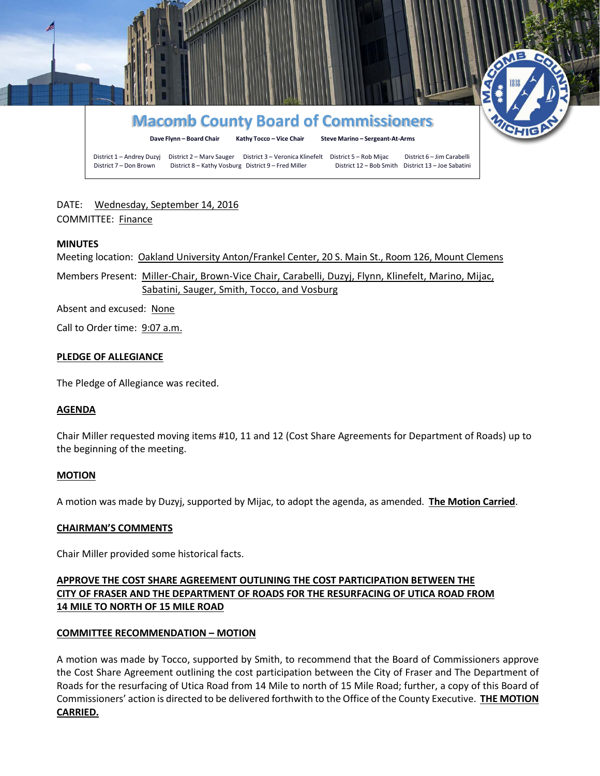

# DATE: Wednesday, September 14, 2016 COMMITTEE: Finance

### **MINUTES**

Meeting location: Oakland University Anton/Frankel Center, 20 S. Main St., Room 126, Mount Clemens

Members Present: Miller-Chair, Brown-Vice Chair, Carabelli, Duzyj, Flynn, Klinefelt, Marino, Mijac, Sabatini, Sauger, Smith, Tocco, and Vosburg

Absent and excused: None

Call to Order time: 9:07 a.m.

### **PLEDGE OF ALLEGIANCE**

The Pledge of Allegiance was recited.

### **AGENDA**

Chair Miller requested moving items #10, 11 and 12 (Cost Share Agreements for Department of Roads) up to the beginning of the meeting.

### **MOTION**

A motion was made by Duzyj, supported by Mijac, to adopt the agenda, as amended. **The Motion Carried**.

### **CHAIRMAN'S COMMENTS**

Chair Miller provided some historical facts.

## **APPROVE THE COST SHARE AGREEMENT OUTLINING THE COST PARTICIPATION BETWEEN THE CITY OF FRASER AND THE DEPARTMENT OF ROADS FOR THE RESURFACING OF UTICA ROAD FROM 14 MILE TO NORTH OF 15 MILE ROAD**

## **COMMITTEE RECOMMENDATION – MOTION**

A motion was made by Tocco, supported by Smith, to recommend that the Board of Commissioners approve the Cost Share Agreement outlining the cost participation between the City of Fraser and The Department of Roads for the resurfacing of Utica Road from 14 Mile to north of 15 Mile Road; further, a copy of this Board of Commissioners' action is directed to be delivered forthwith to the Office of the County Executive. **THE MOTION CARRIED.**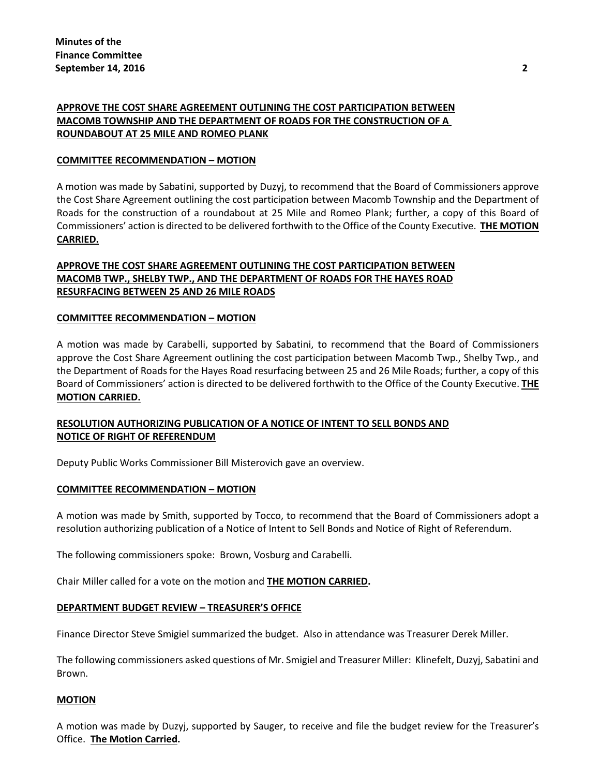## **APPROVE THE COST SHARE AGREEMENT OUTLINING THE COST PARTICIPATION BETWEEN MACOMB TOWNSHIP AND THE DEPARTMENT OF ROADS FOR THE CONSTRUCTION OF A ROUNDABOUT AT 25 MILE AND ROMEO PLANK**

### **COMMITTEE RECOMMENDATION – MOTION**

A motion was made by Sabatini, supported by Duzyj, to recommend that the Board of Commissioners approve the Cost Share Agreement outlining the cost participation between Macomb Township and the Department of Roads for the construction of a roundabout at 25 Mile and Romeo Plank; further, a copy of this Board of Commissioners' action is directed to be delivered forthwith to the Office of the County Executive. **THE MOTION CARRIED.**

## **APPROVE THE COST SHARE AGREEMENT OUTLINING THE COST PARTICIPATION BETWEEN MACOMB TWP., SHELBY TWP., AND THE DEPARTMENT OF ROADS FOR THE HAYES ROAD RESURFACING BETWEEN 25 AND 26 MILE ROADS**

### **COMMITTEE RECOMMENDATION – MOTION**

A motion was made by Carabelli, supported by Sabatini, to recommend that the Board of Commissioners approve the Cost Share Agreement outlining the cost participation between Macomb Twp., Shelby Twp., and the Department of Roads for the Hayes Road resurfacing between 25 and 26 Mile Roads; further, a copy of this Board of Commissioners' action is directed to be delivered forthwith to the Office of the County Executive. **THE MOTION CARRIED.**

## **RESOLUTION AUTHORIZING PUBLICATION OF A NOTICE OF INTENT TO SELL BONDS AND NOTICE OF RIGHT OF REFERENDUM**

Deputy Public Works Commissioner Bill Misterovich gave an overview.

### **COMMITTEE RECOMMENDATION – MOTION**

A motion was made by Smith, supported by Tocco, to recommend that the Board of Commissioners adopt a resolution authorizing publication of a Notice of Intent to Sell Bonds and Notice of Right of Referendum.

The following commissioners spoke: Brown, Vosburg and Carabelli.

Chair Miller called for a vote on the motion and **THE MOTION CARRIED.**

### **DEPARTMENT BUDGET REVIEW – TREASURER'S OFFICE**

Finance Director Steve Smigiel summarized the budget. Also in attendance was Treasurer Derek Miller.

The following commissioners asked questions of Mr. Smigiel and Treasurer Miller: Klinefelt, Duzyj, Sabatini and Brown.

### **MOTION**

A motion was made by Duzyj, supported by Sauger, to receive and file the budget review for the Treasurer's Office. **The Motion Carried.**